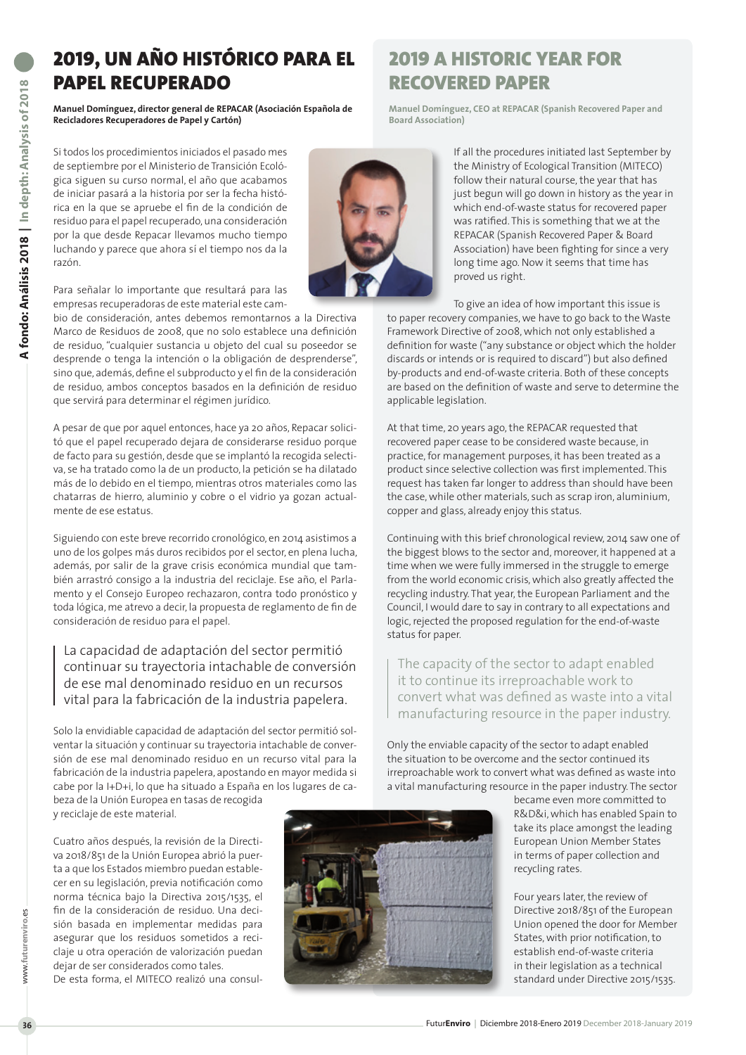## 2019, UN AÑO HISTÓRICO PARA EL PAPEL RECUPERADO

**Manuel Domínguez, director general de REPACAR (Asociación Española de Recicladores Recuperadores de Papel y Cartón)** 

Si todos los procedimientos iniciados el pasado mes de septiembre por el Ministerio de Transición Ecológica siguen su curso normal, el año que acabamos de iniciar pasará a la historia por ser la fecha histórica en la que se apruebe el fin de la condición de residuo para el papel recuperado, una consideración por la que desde Repacar llevamos mucho tiempo luchando y parece que ahora sí el tiempo nos da la razón.



Para señalar lo importante que resultará para las empresas recuperadoras de este material este cam-

bio de consideración, antes debemos remontarnos a la Directiva Marco de Residuos de 2008, que no solo establece una definición de residuo, "cualquier sustancia u objeto del cual su poseedor se desprende o tenga la intención o la obligación de desprenderse", sino que, además, define el subproducto y el fin de la consideración de residuo, ambos conceptos basados en la definición de residuo que servirá para determinar el régimen jurídico.

A pesar de que por aquel entonces, hace ya 20 años, Repacar solicitó que el papel recuperado dejara de considerarse residuo porque de facto para su gestión, desde que se implantó la recogida selectiva, se ha tratado como la de un producto, la petición se ha dilatado más de lo debido en el tiempo, mientras otros materiales como las chatarras de hierro, aluminio y cobre o el vidrio ya gozan actualmente de ese estatus.

Siguiendo con este breve recorrido cronológico, en 2014 asistimos a uno de los golpes más duros recibidos por el sector, en plena lucha, además, por salir de la grave crisis económica mundial que también arrastró consigo a la industria del reciclaje. Ese año, el Parlamento y el Consejo Europeo rechazaron, contra todo pronóstico y toda lógica, me atrevo a decir, la propuesta de reglamento de fin de consideración de residuo para el papel.

## La capacidad de adaptación del sector permitió continuar su trayectoria intachable de conversión de ese mal denominado residuo en un recursos vital para la fabricación de la industria papelera.

Solo la envidiable capacidad de adaptación del sector permitió solventar la situación y continuar su trayectoria intachable de conversión de ese mal denominado residuo en un recurso vital para la fabricación de la industria papelera, apostando en mayor medida si cabe por la I+D+i, lo que ha situado a España en los lugares de cabeza de la Unión Europea en tasas de recogida

y reciclaje de este material.

Cuatro años después, la revisión de la Directiva 2018/851 de la Unión Europea abrió la puerta a que los Estados miembro puedan establecer en su legislación, previa notificación como norma técnica bajo la Directiva 2015/1535, el fin de la consideración de residuo. Una decisión basada en implementar medidas para asegurar que los residuos sometidos a reciclaje u otra operación de valorización puedan dejar de ser considerados como tales.

De esta forma, el MITECO realizó una consul-

## 2019 A HISTORIC YEAR FOR RECOVERED PAPER

**Manuel Domínguez, CEO at REPACAR (Spanish Recovered Paper and Board Association)**

> If all the procedures initiated last September by the Ministry of Ecological Transition (MITECO) follow their natural course, the year that has just begun will go down in history as the year in which end-of-waste status for recovered paper was ratified. This is something that we at the REPACAR (Spanish Recovered Paper & Board Association) have been fighting for since a very long time ago. Now it seems that time has proved us right.

To give an idea of how important this issue is to paper recovery companies, we have to go back to the Waste Framework Directive of 2008, which not only established a definition for waste ("any substance or object which the holder discards or intends or is required to discard") but also defined by-products and end-of-waste criteria. Both of these concepts are based on the definition of waste and serve to determine the applicable legislation.

At that time, 20 years ago, the REPACAR requested that recovered paper cease to be considered waste because, in practice, for management purposes, it has been treated as a product since selective collection was first implemented. This request has taken far longer to address than should have been the case, while other materials, such as scrap iron, aluminium, copper and glass, already enjoy this status.

Continuing with this brief chronological review, 2014 saw one of the biggest blows to the sector and, moreover, it happened at a time when we were fully immersed in the struggle to emerge from the world economic crisis, which also greatly affected the recycling industry. That year, the European Parliament and the Council, I would dare to say in contrary to all expectations and logic, rejected the proposed regulation for the end-of-waste status for paper.

The capacity of the sector to adapt enabled it to continue its irreproachable work to convert what was defined as waste into a vital manufacturing resource in the paper industry.

Only the enviable capacity of the sector to adapt enabled the situation to be overcome and the sector continued its irreproachable work to convert what was defined as waste into a vital manufacturing resource in the paper industry. The sector



became even more committed to R&D&i, which has enabled Spain to take its place amongst the leading European Union Member States in terms of paper collection and recycling rates.

Four years later, the review of Directive 2018/851 of the European Union opened the door for Member States, with prior notification, to establish end-of-waste criteria in their legislation as a technical standard under Directive 2015/1535.

www.**futurenviro**.es

www.f

uturenviro.es